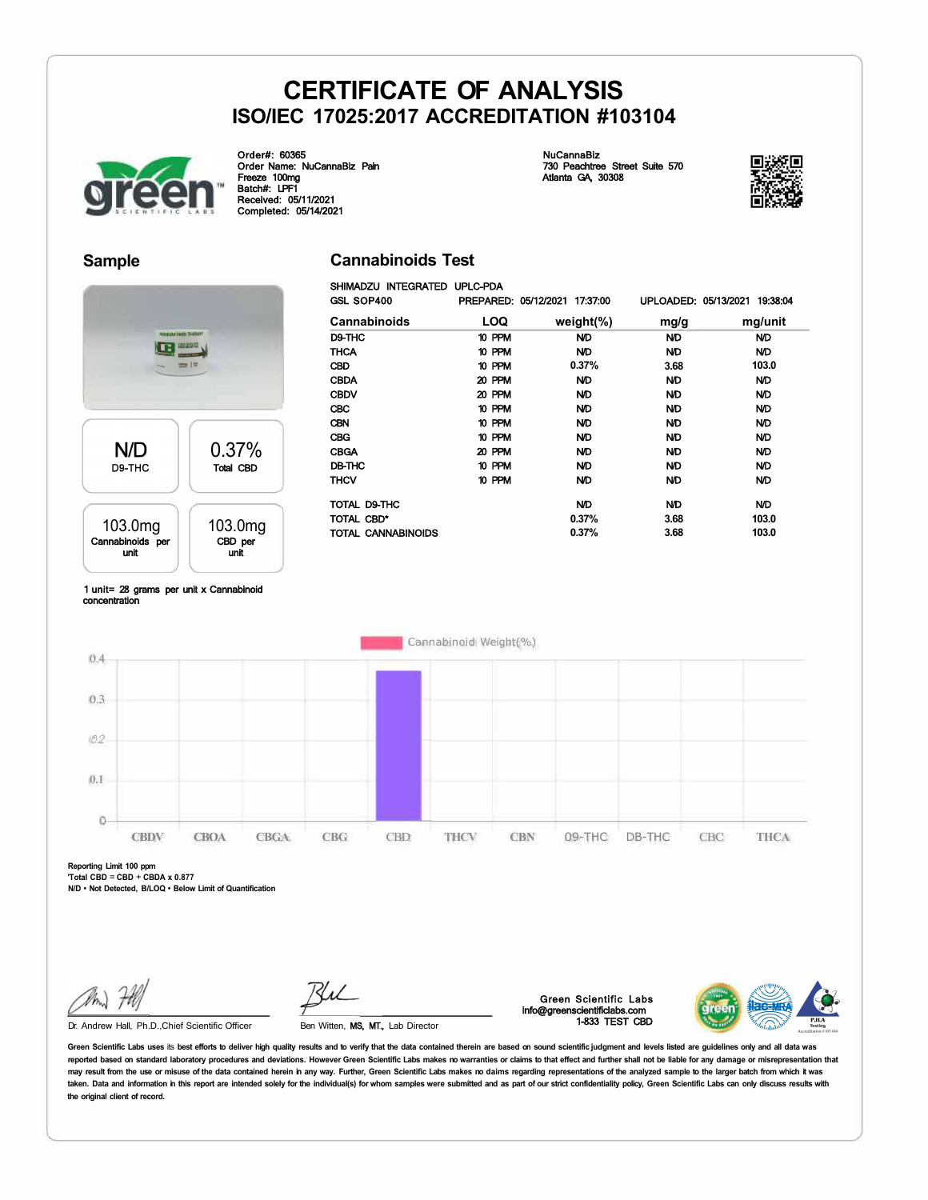**Cannabinoids Test** 



Order#: 60365 Order Name: NuCannaBiz Pain Freeze 100mg Batch#: LPF1 Received: 05/11/2021 Completed: 05/14/2021

NuCannaBiz 730 Peachtree Street Suite 570 Atlanta GA, 30308



### **Sample**



Total CBD

103.0mg CBD per unit

| GSL SOP400          |            | PREPARED: 05/12/2021 17:37:00 | UPLOADED: 05/13/2021 | 19:38:04  |
|---------------------|------------|-------------------------------|----------------------|-----------|
| <b>Cannabinoids</b> | <b>LOQ</b> | weight $(\%)$                 | mg/g                 | mg/unit   |
| D9-THC              | 10 PPM     | ND.                           | <b>ND</b>            | ND        |
| <b>THCA</b>         | 10 PPM     | <b>ND</b>                     | <b>ND</b>            | ND        |
| <b>CBD</b>          | 10 PPM     | 0.37%                         | 3.68                 | 103.0     |
| <b>CBDA</b>         | 20 PPM     | ND.                           | <b>ND</b>            | ND        |
| <b>CBDV</b>         | 20 PPM     | <b>ND</b>                     | <b>ND</b>            | <b>ND</b> |
| <b>CBC</b>          | 10 PPM     | <b>ND</b>                     | <b>ND</b>            | <b>ND</b> |
| <b>CBN</b>          | 10 PPM     | <b>ND</b>                     | <b>ND</b>            | ND        |
| <b>CBG</b>          | 10 PPM     | <b>ND</b>                     | <b>ND</b>            | <b>ND</b> |
| <b>CBGA</b>         | 20 PPM     | ND.                           | <b>ND</b>            | ND        |
| DB-THC              | 10 PPM     | ND.                           | <b>ND</b>            | ND        |
| THCV                | 10 PPM     | ND.                           | ND                   | ND        |
| TOTAL D9-THC        |            | ND                            | ND                   | ND        |
| TOTAL CBD*          |            | 0.37%                         | 3.68                 | 103.0     |
| TOTAL CANNABINOIDS  |            | 0.37%                         | 3.68                 | 103.0     |

#### 1 unit= 28 grams per unit x Cannabinoid concentration

103.0mg Cannabinoids per unit

**N/D** D9-THC



**Reporting Limit 100 ppm 'Total CBD** = **CBD** + **CBDA x 0.877** 

**N/D • Not Detected, B/LOQ • Below Limit of Quantification** 

Dr. Andrew Hall, Ph.D.,Chief Scientific Officer

Ben Witten, MS, MT., Lab Director

Green Scientific Labs info@greenscientificlabs.com 1-833 TEST CBD



Green Scientific Labs uses its best efforts to deliver high quality results and to verify that the data contained therein are based on sound scientific judgment and levels listed are guidelines only and all data was reported based on standard laboratory procedures and deviations. However Green Scientific Labs makes no warranties or claims to that effect and further shall not be liable for any damage or misrepresentation that may result from the use or misuse of the data contained herein in any way. Further, Green Scientific Labs makes no daims regarding representations of the analyzed sample to the larger batch from which it was taken. Data and information in this report are intended solely for the individual(s) for whom samples were submitted and as part of our strict confidentiality policy, Green Scientific Labs can only discuss results with **the original client of record.**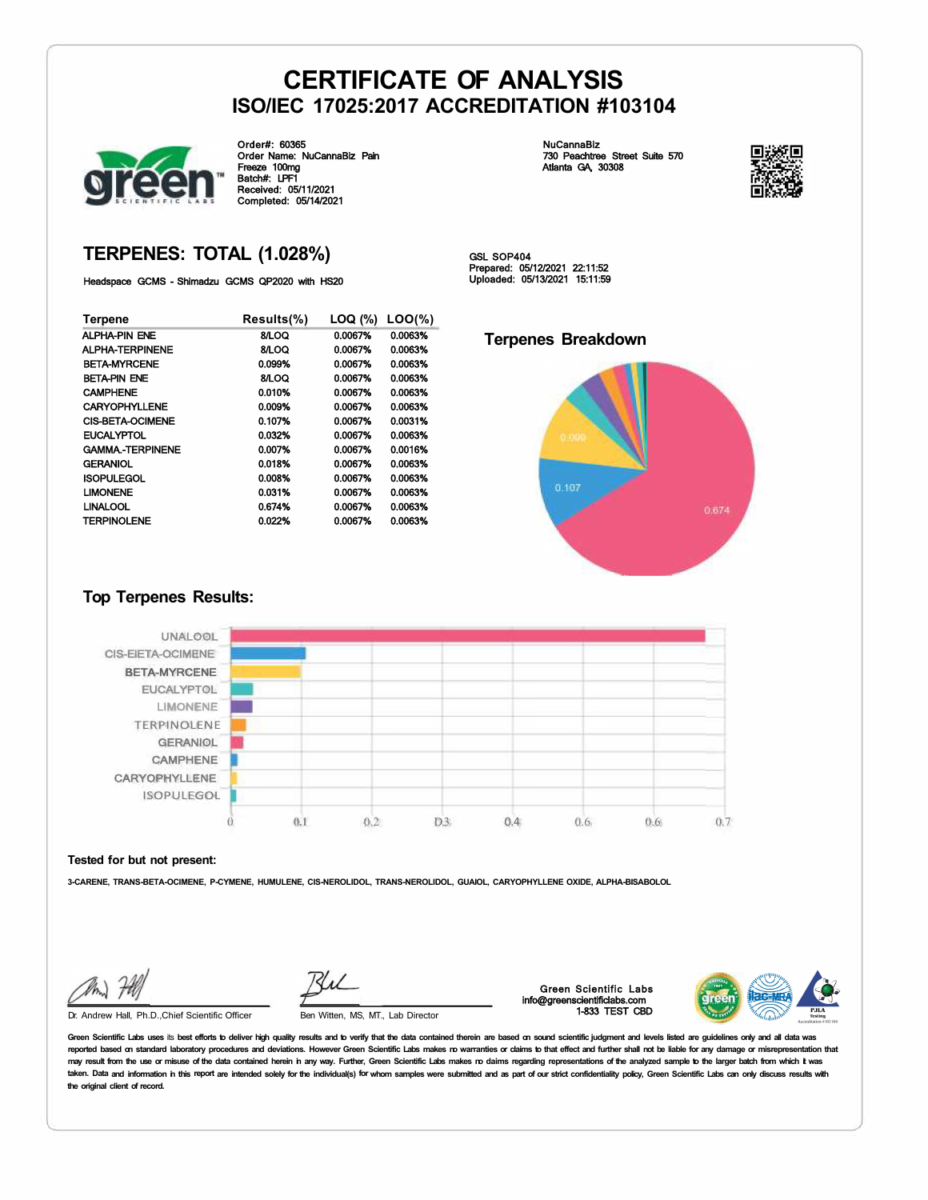

Order#: 60365 Order Name: NuCannaBiz Pain Freeze 100mg Batch#: LPF1 Received: 05/11/2021 Completed: 05/14/2021

NuCannaBiz 730 Peachtree Street Suite 570 Atlanta GA, 30308



### **TERPENES: TOTAL (1.028%)**

Headspace GCMS - Shimadzu GCMS QP2020 with HS20

| Terpene                 | Results(%) | LOQ (%) | $LOO(\%)$ |
|-------------------------|------------|---------|-----------|
| ALPHA-PIN ENE           | 8/LOQ      | 0.0067% | 0.0063%   |
| ALPHA-TERPINENE         | 8/LOQ      | 0.0067% | 0.0063%   |
| <b>BETA-MYRCENE</b>     | 0.099%     | 0.0067% | 0.0063%   |
| <b>BETA-PIN ENE</b>     | 8/LOQ      | 0.0067% | 0.0063%   |
| <b>CAMPHENE</b>         | 0.010%     | 0.0067% | 0.0063%   |
| <b>CARYOPHYLLENE</b>    | 0.009%     | 0.0067% | 0.0063%   |
| <b>CIS-BETA-OCIMENE</b> | 0.107%     | 0.0067% | 0.0031%   |
| <b>EUCALYPTOL</b>       | 0.032%     | 0.0067% | 0.0063%   |
| <b>GAMMA.-TERPINENE</b> | 0.007%     | 0.0067% | 0.0016%   |
| <b>GERANIOL</b>         | 0.018%     | 0.0067% | 0.0063%   |
| <b>ISOPULEGOL</b>       | 0.008%     | 0.0067% | 0.0063%   |
| <b>LIMONENE</b>         | 0.031%     | 0.0067% | 0.0063%   |
| <b>LINALOOL</b>         | 0.674%     | 0.0067% | 0.0063%   |
| <b>TERPINOLENE</b>      | 0.022%     | 0.0067% | 0.0063%   |

GSL SOP404 Prepared: 05/12/2021 22:11:52 Uploaded: 05/13/2021 15:11:59

### **Terpenes Breakdown**



### **Top Terpenes Results:**



#### **Tested for but not present:**

**3-CARENE, TRANS-BETA-OCIMENE, P-CYMENE, HUMULENE, CIS-NEROLIDOL, TRANS-NEROLIDOL, GUAIOL, CARYOPHYLLENE OXIDE, ALPHA-BISABOLOL** 

Dr. Andrew Hall, Ph.D., Chief Scientific Officer Ben Witten, MS, MT., Lab Director

Green Scientific Labs info@greenscientificlabs.com 1-833 TEST CBD



Green Scientific Labs uses its best efforts to deliver high quality results and to verify that the data contained therein are based on sound scientific judgment and levels listed are quidelines only and all data was reported based on standard laboratory procedures and deviations. However Green Scientific Labs makes ro warranties or claims to that effect and further shall not be liable for any damage or misrepresentation that may result from the use or misuse of the data contained herein in any way. Further, Green Scientific Labs makes no daims regarding representations of the analyzed sample to the larger batch from which it was taken. Data and information in this report are intended solely for the individual(s) for whom samples were submitted and as part of our strict confidentiality policy, Green Scientific Labs can only discuss results with **the original client of record.**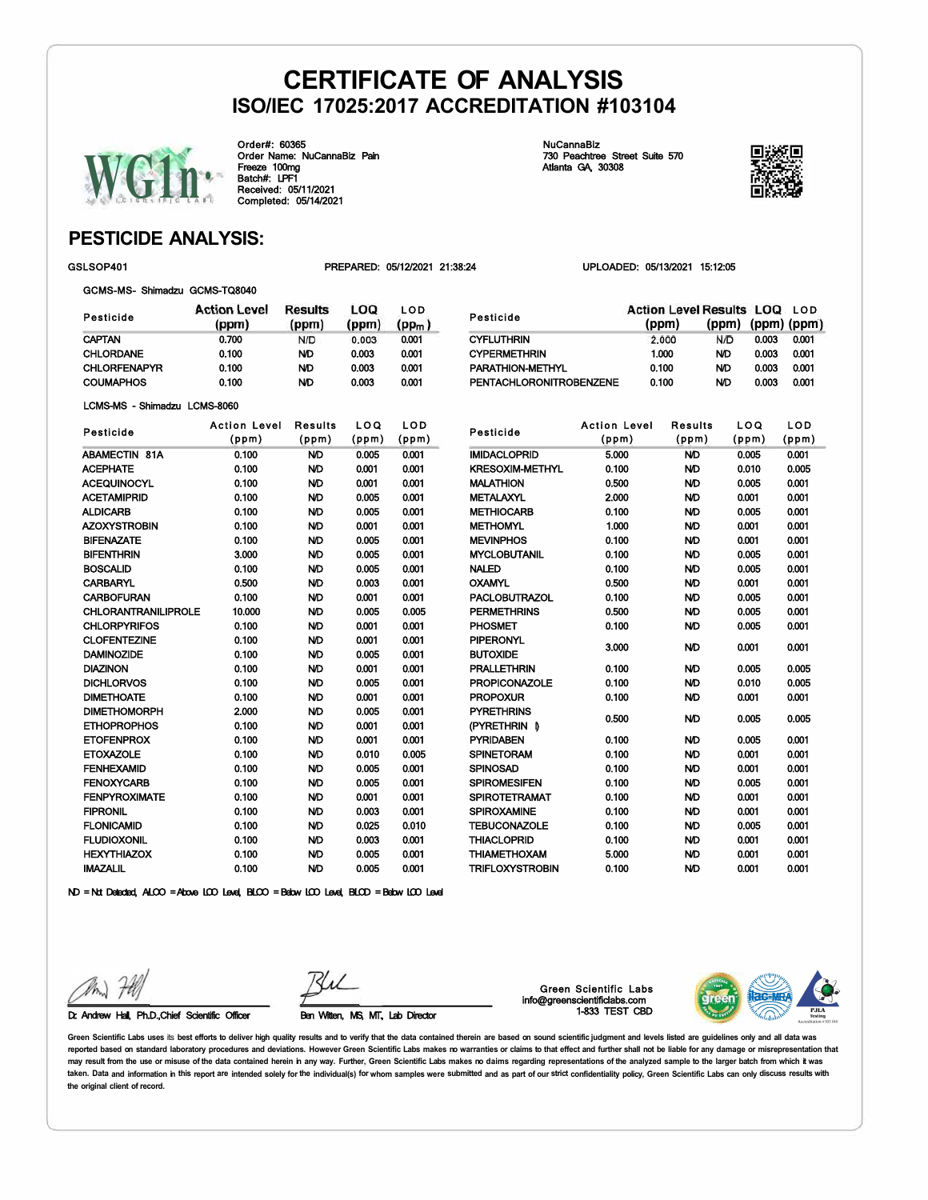Pesticide **CYFLUTHRIN** 



Order#: 60365 Order Name: NuCannaBiz Pain Freeze 100mg Batch#: LPF1 Received: 05/11/2021 Completed: 05/14/2021

NuCannaBiz 730 Peachtree Street Suite 570 Atlanta GA, 30308

CYPERMETHRIN 1.000 PARATHION-METHYL 0.100 PENTACHLORONITROBENZENE 0.100



0.003 N/D 0.003 N/D 0.003 N/D 0.003

(ppm) (ppm) (ppm)

0.001 0.001 0.001 0.001

Action Level Results LOQ LOD

 $N/D$ 

### **PESTICIDE ANALYSIS:**

GSLSOP401 PREPARED: 05/12/2021 21:38:24 UPLOADED: 05/13/2021 15:12:05

(ppm)

2.000

GCMS-MS- Shimadzu GCMS-TQ8040

| Pesticide           | <b>Action Level</b><br>(ppm) | Results<br>(ppm) | LOQ<br>(ppm) | LOD<br>(pp <sub>m</sub> ) |
|---------------------|------------------------------|------------------|--------------|---------------------------|
| <b>CAPTAN</b>       | 0.700                        | N/D              | 0.003        | 0.001                     |
| <b>CHLORDANE</b>    | 0.100                        | ND.              | 0.003        | 0.001                     |
| <b>CHLORFENAPYR</b> | 0.100                        | ND.              | 0.003        | 0.001                     |
| <b>COUMAPHOS</b>    | 0.100                        | ND               | 0.003        | 0.001                     |

LCMS-MS - Shimadzu LCMS-8060

| Pesticide                  | <b>Action Level</b> | <b>Results</b> | LOQ   | LOD   |
|----------------------------|---------------------|----------------|-------|-------|
|                            | (ppm)               | (ppm)          | (ppm) | (ppm) |
| <b>ABAMECTIN 81A</b>       | 0.100               | <b>ND</b>      | 0.005 | 0.001 |
| <b>ACEPHATE</b>            | 0.100               | <b>ND</b>      | 0.001 | 0.001 |
| ACEQUINOCYL                | 0.100               | <b>ND</b>      | 0.001 | 0.001 |
| <b>ACETAMIPRID</b>         | 0.100               | <b>ND</b>      | 0.005 | 0.001 |
| <b>ALDICARB</b>            | 0.100               | ND             | 0.005 | 0.001 |
| AZOXYSTROBIN               | 0.100               | <b>ND</b>      | 0.001 | 0.001 |
| <b>BIFENAZATE</b>          | 0.100               | ND             | 0.005 | 0.001 |
| <b>BIFENTHRIN</b>          | 3.000               | ND             | 0.005 | 0.001 |
| <b>BOSCALID</b>            | 0.100               | <b>ND</b>      | 0.005 | 0.001 |
| <b>CARBARYL</b>            | 0.500               | <b>ND</b>      | 0.003 | 0.001 |
| <b>CARBOFURAN</b>          | 0.100               | <b>ND</b>      | 0.001 | 0.001 |
| <b>CHLORANTRANILIPROLE</b> | 10,000              | <b>ND</b>      | 0.005 | 0.005 |
| <b>CHLORPYRIFOS</b>        | 0.100               | <b>ND</b>      | 0.001 | 0.001 |
| <b>CLOFENTEZINE</b>        | 0.100               | ND             | 0.001 | 0.001 |
| <b>DAMINOZIDE</b>          | 0.100               | ND             | 0.005 | 0.001 |
| <b>DIAZINON</b>            | 0.100               | <b>ND</b>      | 0.001 | 0.001 |
| <b>DICHLORVOS</b>          | 0.100               | <b>ND</b>      | 0.005 | 0.001 |
| <b>DIMETHOATE</b>          | 0.100               | <b>ND</b>      | 0.001 | 0.001 |
| <b>DIMETHOMORPH</b>        | 2.000               | <b>ND</b>      | 0.005 | 0.001 |
| <b>ETHOPROPHOS</b>         | 0.100               | <b>ND</b>      | 0.001 | 0.001 |
| <b>ETOFENPROX</b>          | 0.100               | <b>ND</b>      | 0.001 | 0.001 |
| <b>ETOXAZOLE</b>           | 0.100               | <b>ND</b>      | 0.010 | 0.005 |
| <b>FENHEXAMID</b>          | 0.100               | <b>ND</b>      | 0.005 | 0.001 |
| <b>FENOXYCARB</b>          | 0.100               | ND             | 0.005 | 0.001 |
| <b>FENPYROXIMATE</b>       | 0.100               | ND             | 0.001 | 0.001 |
| <b>FIPRONIL</b>            | 0.100               | <b>ND</b>      | 0.003 | 0.001 |
| <b>FLONICAMID</b>          | 0.100               | ND             | 0.025 | 0.010 |
| <b>FLUDIOXONIL</b>         | 0.100               | <b>ND</b>      | 0.003 | 0.001 |
| <b>HEXYTHIAZOX</b>         | 0.100               | <b>ND</b>      | 0.005 | 0.001 |
| <b>IMAZALIL</b>            | 0.100               | <b>ND</b>      | 0.005 | 0.001 |

| Pesticide              | <b>Action Level</b> | <b>Results</b> | LOQ   | LOD   |
|------------------------|---------------------|----------------|-------|-------|
|                        | (ppm)               | (ppm)          | (ppm) | (ppm) |
| <b>IMIDACLOPRID</b>    | 5.000               | <b>ND</b>      | 0.005 | 0.001 |
| <b>KRESOXIM-METHYL</b> | 0.100               | <b>ND</b>      | 0.010 | 0.005 |
| <b>MALATHION</b>       | 0.500               | <b>ND</b>      | 0.005 | 0.001 |
| <b>METALAXYL</b>       | 2.000               | <b>ND</b>      | 0.001 | 0.001 |
| <b>METHIOCARB</b>      | 0.100               | ND             | 0.005 | 0.001 |
| <b>METHOMYL</b>        | 1.000               | <b>ND</b>      | 0.001 | 0.001 |
| <b>MEVINPHOS</b>       | 0.100               | ND             | 0.001 | 0.001 |
| <b>MYCLOBUTANIL</b>    | 0.100               | ND             | 0.005 | 0.001 |
| <b>NALED</b>           | 0.100               | <b>ND</b>      | 0.005 | 0.001 |
| <b>OXAMYL</b>          | 0.500               | <b>ND</b>      | 0.001 | 0.001 |
| <b>PACLOBUTRAZOL</b>   | 0.100               | <b>ND</b>      | 0.005 | 0.001 |
| <b>PERMETHRINS</b>     | 0.500               | <b>ND</b>      | 0.005 | 0.001 |
| <b>PHOSMET</b>         | 0.100               | <b>ND</b>      | 0.005 | 0.001 |
| <b>PIPERONYL</b>       | 3.000               | <b>ND</b>      | 0.001 | 0.001 |
| <b>BUTOXIDE</b>        |                     |                |       |       |
| <b>PRALLETHRIN</b>     | 0.100               | ND             | 0.005 | 0.005 |
| <b>PROPICONAZOLE</b>   | 0.100               | ND             | 0.010 | 0.005 |
| <b>PROPOXUR</b>        | 0.100               | <b>ND</b>      | 0.001 | 0.001 |
| <b>PYRETHRINS</b>      | 0.500               | ND             | 0.005 | 0.005 |
| (PYRETHRIN D           |                     |                |       |       |
| <b>PYRIDABEN</b>       | 0.100               | <b>ND</b>      | 0.005 | 0.001 |
| <b>SPINETORAM</b>      | 0.100               | <b>ND</b>      | 0.001 | 0.001 |
| <b>SPINOSAD</b>        | 0.100               | <b>ND</b>      | 0.001 | 0.001 |
| <b>SPIROMESIFEN</b>    | 0.100               | ND             | 0.005 | 0.001 |
| <b>SPIROTETRAMAT</b>   | 0.100               | ND             | 0.001 | 0.001 |
| <b>SPIROXAMINE</b>     | 0.100               | <b>ND</b>      | 0.001 | 0.001 |
| <b>TEBUCONAZOLE</b>    | 0.100               | <b>ND</b>      | 0.005 | 0.001 |
| <b>THIACLOPRID</b>     | 0.100               | <b>ND</b>      | 0.001 | 0.001 |
| <b>THIAMETHOXAM</b>    | 5.000               | <b>ND</b>      | 0.001 | 0.001 |
| <b>TRIFLOXYSTROBIN</b> | 0.100               | <b>ND</b>      | 0.001 | 0.001 |

ND = Not Detected, ALCO = Above LCO Level, BLCO = Below LCO Level, BLCD = Below LCO Level

Dr. Andrew Hall, Ph.D.,Chief Scientific Officer Ben Witten, MS, MT, Lab Director

Green Scientific Labs info@greenscientificlabs.com 1-833 TEST CBD



Green Scientific Labs uses its best efforts to deliver high quality results and to verify that the data contained therein are based on sound scientific judgment and levels listed are quidelines only and all data was **reported based on standard laboratory procedures and deviations. However Green Scientific Labs makes no warranties or claims to that effect and further shall not be liable for any damage or misrepresentation that**  may result from the use or misuse of the data contained herein in any way. Further, Green Scientific Labs makes no daims regarding representations of the analyzed sample to the larger batch from which it was taken. Data and information in this report are intended solely for the individual(s) for whom samples were submitted and as part of our strict confidentiality policy, Green Scientific Labs can only discuss results with **the original client of record.**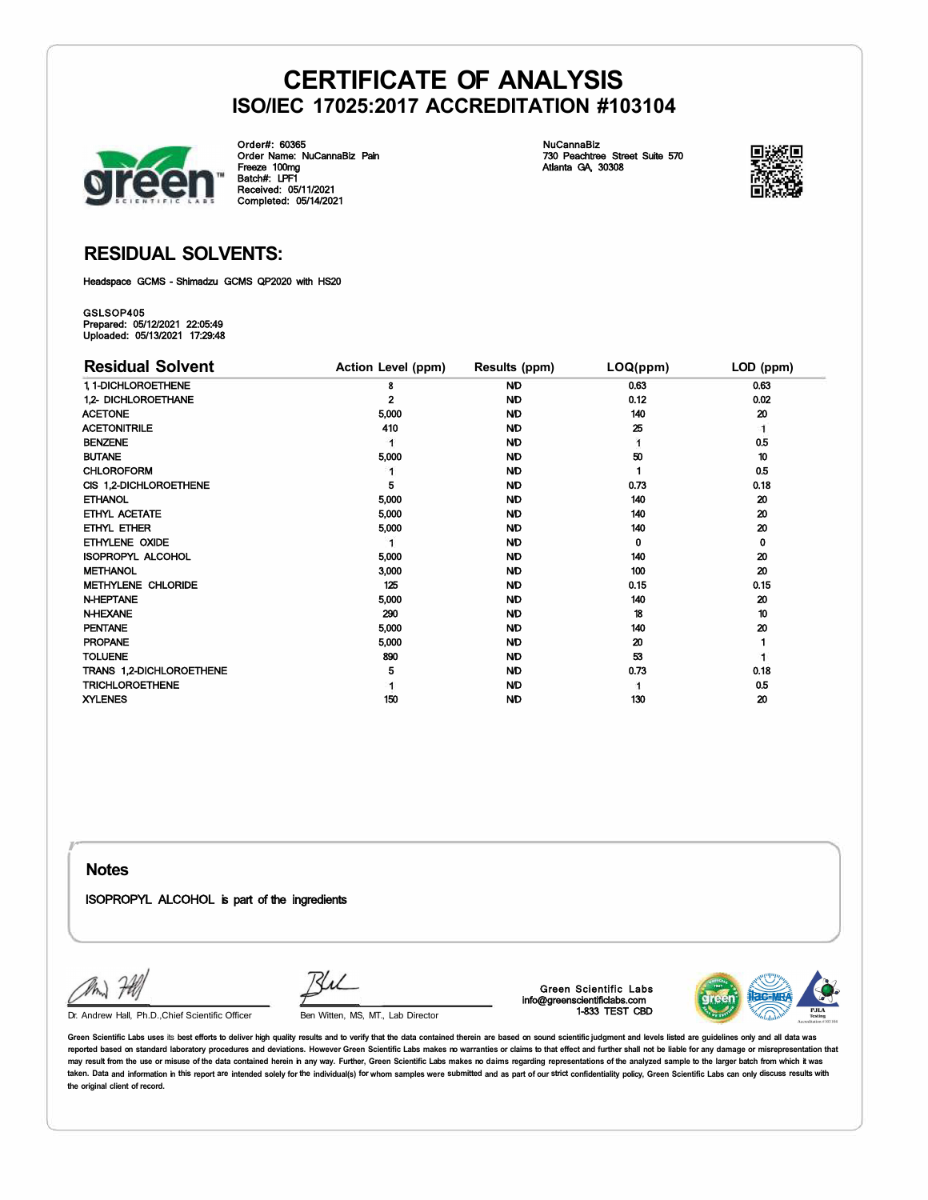

Order#: 60365 Order Name: NuCannaBiz Pain Freeze 100mg Batch#: LPF1 Received: 05/11/2021 Completed: 05/14/2021

NuCannaBiz 730 Peachtree Street Suite 570 Atlanta GA, 30308



### **RESIDUAL SOLVENTS:**

Headspace GCMS - Shimadzu GCMS QP2020 with HS20

GSLSOP405 Prepared: 05/12/2021 22:05:49 Uploaded: 05/13/2021 17:29:48

| <b>Residual Solvent</b>   | Action Level (ppm) | Results (ppm) | LOQ(ppm) | LOD (ppm) |
|---------------------------|--------------------|---------------|----------|-----------|
| 1, 1-DICHLOROETHENE       | 8                  | <b>ND</b>     | 0.63     | 0.63      |
| 1.2- DICHLOROETHANE       | 2                  | ND            | 0.12     | 0.02      |
| <b>ACETONE</b>            | 5,000              | <b>ND</b>     | 140      | 20        |
| <b>ACETONITRILE</b>       | 410                | ND.           | 25       | 1         |
| <b>BENZENE</b>            |                    | <b>ND</b>     |          | 0.5       |
| <b>BUTANE</b>             | 5,000              | <b>ND</b>     | 50       | 10        |
| <b>CHLOROFORM</b>         |                    | <b>ND</b>     |          | 0.5       |
| CIS 1,2-DICHLOROETHENE    | 5                  | <b>ND</b>     | 0.73     | 0.18      |
| <b>ETHANOL</b>            | 5,000              | <b>ND</b>     | 140      | 20        |
| ETHYL ACETATE             | 5,000              | <b>ND</b>     | 140      | 20        |
| ETHYL ETHER               | 5,000              | <b>ND</b>     | 140      | 20        |
| ETHYLENE OXIDE            |                    | <b>ND</b>     | 0        | 0         |
| <b>ISOPROPYL ALCOHOL</b>  | 5,000              | <b>ND</b>     | 140      | 20        |
| <b>METHANOL</b>           | 3,000              | <b>ND</b>     | 100      | 20        |
| <b>METHYLENE CHLORIDE</b> | 125                | <b>ND</b>     | 0.15     | 0.15      |
| <b>N-HEPTANE</b>          | 5,000              | <b>ND</b>     | 140      | 20        |
| <b>N-HEXANE</b>           | 290                | <b>ND</b>     | 18       | 10        |
| <b>PENTANE</b>            | 5,000              | <b>ND</b>     | 140      | 20        |
| <b>PROPANE</b>            | 5,000              | <b>ND</b>     | 20       |           |
| <b>TOLUENE</b>            | 890                | <b>ND</b>     | 53       |           |
| TRANS 1,2-DICHLOROETHENE  | 5                  | <b>ND</b>     | 0.73     | 0.18      |
| <b>TRICHLOROETHENE</b>    |                    | <b>ND</b>     |          | 0.5       |
| <b>XYLENES</b>            | 150                | <b>ND</b>     | 130      | 20        |

**Notes** 

*r* 

ISOPROPYL ALCOHOL is part of the ingredients

RhL

Dr. Andrew Hall, Ph.D.,Chief Scientific Officer Ben Witten, MS, MT., Lab Director

Green Scientific Labs info@greenscientificlabs.com 1-833 TEST CBD



Green Scientific Labs uses its best efforts to deliver high quality results and to verify that the data contained therein are based on sound scientific judgment and levels listed are quidelines only and all data was **reported based on standard laboratory procedures and deviations. However Green Scientific Labs makes no warranties or claims to that effect and further shall not be liable for any damage or misrepresentation that**  may result from the use or misuse of the data contained herein in any way. Further, Green Scientific Labs makes no daims regarding representations of the analyzed sample to the larger batch from which it was taken. Data and information in this report are intended solely for the individual(s) for whom samples were submitted and as part of our strict confidentiality policy, Green Scientific Labs can only discuss results with **the original client of record.**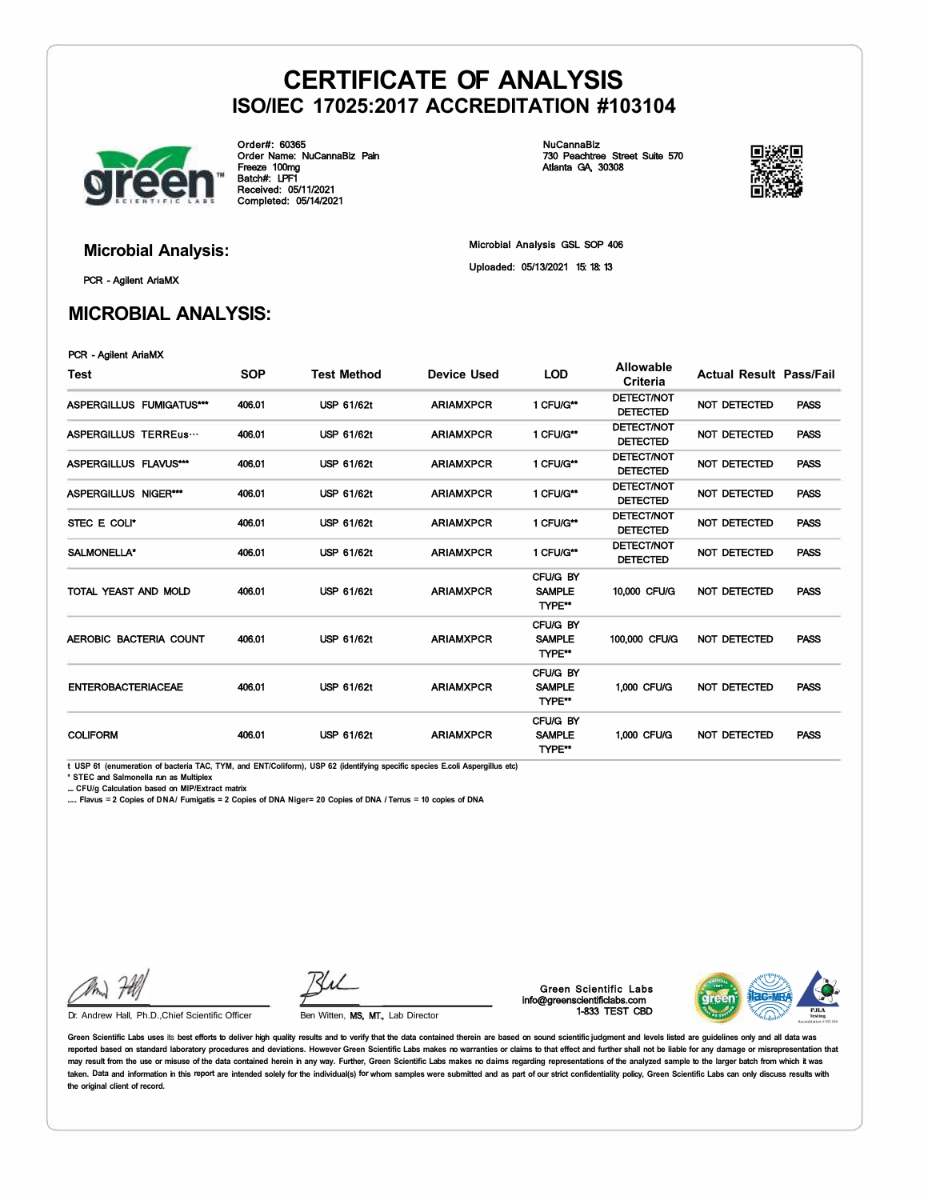

Order#: 60365 Order Name: NuCannaBiz Pain Freeze 100mg Batch#: LPF1 Received: 05/11/2021 Completed: 05/14/2021

NuCannaBiz 730 Peachtree Street Suite 570 Atlanta GA, 30308



PCR - Agilent AriaMX

### **MICROBIAL ANALYSIS:**

**Microbial Analysis:** Microbial Analysis GSL SOP 406 Uploaded: 05/13/2021 15: 18: 13

### PCR - Agilent AriaMX

| Test                      | <b>SOP</b> | <b>Test Method</b> | Device Used      | <b>LOD</b>                          | <b>Allowable</b><br>Criteria         | <b>Actual Result Pass/Fail</b> |      |
|---------------------------|------------|--------------------|------------------|-------------------------------------|--------------------------------------|--------------------------------|------|
| ASPERGILLUS FUMIGATUS***  | 406.01     | <b>USP 61/62t</b>  | <b>ARIAMXPCR</b> | 1 CFU/G**                           | <b>DETECT/NOT</b><br><b>DETECTED</b> | <b>NOT DETECTED</b>            | PASS |
| ASPERGILLUS TERREus       | 406.01     | <b>USP 61/62t</b>  | <b>ARIAMXPCR</b> | 1 CFU/G**                           | <b>DETECT/NOT</b><br><b>DETECTED</b> | <b>NOT DETECTED</b>            | PASS |
| ASPERGILLUS FLAVUS***     | 406.01     | USP 61/62t         | <b>ARIAMXPCR</b> | 1 CFU/G**                           | <b>DETECT/NOT</b><br><b>DETECTED</b> | <b>NOT DETECTED</b>            | PASS |
| ASPERGILLUS NIGER***      | 406.01     | <b>USP 61/62t</b>  | <b>ARIAMXPCR</b> | 1 CFU/G**                           | <b>DETECT/NOT</b><br><b>DETECTED</b> | NOT DETECTED                   | PASS |
| STEC E COLI*              | 406.01     | USP 61/62t         | <b>ARIAMXPCR</b> | 1 CFU/G**                           | <b>DETECT/NOT</b><br><b>DETECTED</b> | <b>NOT DETECTED</b>            | PASS |
| SALMONELLA*               | 406.01     | <b>USP 61/62t</b>  | <b>ARIAMXPCR</b> | 1 CFU/G**                           | <b>DETECT/NOT</b><br><b>DETECTED</b> | <b>NOT DETECTED</b>            | PASS |
| TOTAL YEAST AND MOLD      | 406.01     | <b>USP 61/62t</b>  | <b>ARIAMXPCR</b> | CFU/G BY<br><b>SAMPLE</b><br>TYPE** | 10,000 CFU/G                         | NOT DETECTED                   | PASS |
| AEROBIC BACTERIA COUNT    | 406.01     | <b>USP 61/62t</b>  | <b>ARIAMXPCR</b> | CFU/G BY<br><b>SAMPLE</b><br>TYPE** | 100,000 CFU/G                        | <b>NOT DETECTED</b>            | PASS |
| <b>ENTEROBACTERIACEAE</b> | 406.01     | <b>USP 61/62t</b>  | <b>ARIAMXPCR</b> | CFU/G BY<br><b>SAMPLE</b><br>TYPE** | 1,000 CFU/G                          | NOT DETECTED                   | PASS |
| <b>COLIFORM</b>           | 406.01     | <b>USP 61/62t</b>  | <b>ARIAMXPCR</b> | CFU/G BY<br><b>SAMPLE</b><br>TYPE** | 1,000 CFU/G                          | NOT DETECTED                   | PASS |

**t USP 61 (enumeration of bacteria TAC, TYM, and ENT/Coliform), USP 62 (identifying specific species E.coli Aspergillus etc)** 

**\* STEC and Salmonella run as Multiplex** 

**.... CFU/g Calculation based on MIP/Extract matrix** 

**..... Flavus** = **2 Copies of DNA/ Fumigatis = 2 Copies of DNA Niger= 20 Copies of DNA** *I* **Terrus** = **10 copies of DNA** 

Ku

Dr. Andrew Hall, Ph.D., Chief Scientific Officer Ben Witten, MS, MT., Lab Director

Green Scientific Labs info@greenscientificlabs.com 1-833 TEST CBD



Green Scientific Labs uses its best efforts to deliver high quality results and to verify that the data contained therein are based on sound scientific judgment and levels listed are quidelines only and all data was reported based on standard laboratory procedures and deviations. However Green Scientific Labs makes no warranties or claims to that effect and further shall not be liable for any damage or misrepresentation that may result from the use or misuse of the data contained herein in any way. Further, Green Scientific Labs makes no daims regarding representations of the analyzed sample to the larger batch from which it was taken. Data and information in this report are intended solely for the individual(s) for whom samples were submitted and as part of our strict confidentiality policy, Green Scientific Labs can only discuss results with **the original client of record.**